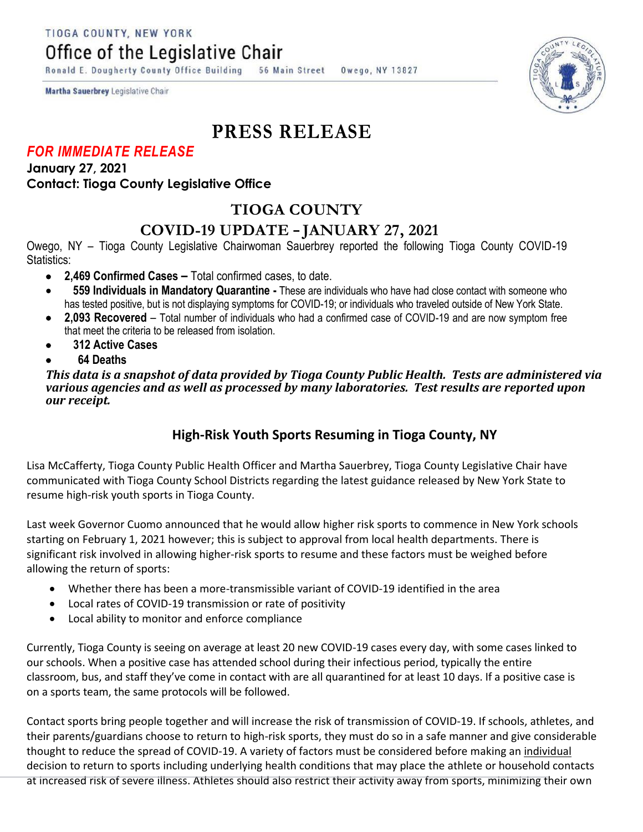TIOGA COUNTY, NEW YORK

Office of the Legislative Chair

Ronald E. Dougherty County Office Building 56 Main Street Owego, NY 13827



Martha Sauerbrey Legislative Chair

# **PRESS RELEASE**

#### *FOR IMMEDIATE RELEASE*

**January 27, 2021 Contact: Tioga County Legislative Office**

## **TIOGA COUNTY**

### **COVID-19 UPDATE – JANUARY 27, 2021**

Owego, NY – Tioga County Legislative Chairwoman Sauerbrey reported the following Tioga County COVID-19 Statistics:

- **2,469 Confirmed Cases –** Total confirmed cases, to date.
- **559 Individuals in Mandatory Quarantine -** These are individuals who have had close contact with someone who has tested positive, but is not displaying symptoms for COVID-19; or individuals who traveled outside of New York State.
- **2,093 Recovered**  Total number of individuals who had a confirmed case of COVID-19 and are now symptom free that meet the criteria to be released from isolation.
- **312 Active Cases**
- **64 Deaths**

*This data is a snapshot of data provided by Tioga County Public Health. Tests are administered via various agencies and as well as processed by many laboratories. Test results are reported upon our receipt.* 

### **High-Risk Youth Sports Resuming in Tioga County, NY**

Lisa McCafferty, Tioga County Public Health Officer and Martha Sauerbrey, Tioga County Legislative Chair have communicated with Tioga County School Districts regarding the latest guidance released by New York State to resume high-risk youth sports in Tioga County.

Last week Governor Cuomo announced that he would allow higher risk sports to commence in New York schools starting on February 1, 2021 however; this is subject to approval from local health departments. There is significant risk involved in allowing higher-risk sports to resume and these factors must be weighed before allowing the return of sports:

- Whether there has been a more-transmissible variant of COVID-19 identified in the area
- Local rates of COVID-19 transmission or rate of positivity
- Local ability to monitor and enforce compliance

Currently, Tioga County is seeing on average at least 20 new COVID-19 cases every day, with some cases linked to our schools. When a positive case has attended school during their infectious period, typically the entire classroom, bus, and staff they've come in contact with are all quarantined for at least 10 days. If a positive case is on a sports team, the same protocols will be followed.

Contact sports bring people together and will increase the risk of transmission of COVID-19. If schools, athletes, and their parents/guardians choose to return to high-risk sports, they must do so in a safe manner and give considerable thought to reduce the spread of COVID-19. A variety of factors must be considered before making an individual decision to return to sports including underlying health conditions that may place the athlete or household contacts at increased risk of severe illness. Athletes should also restrict their activity away from sports, minimizing their own